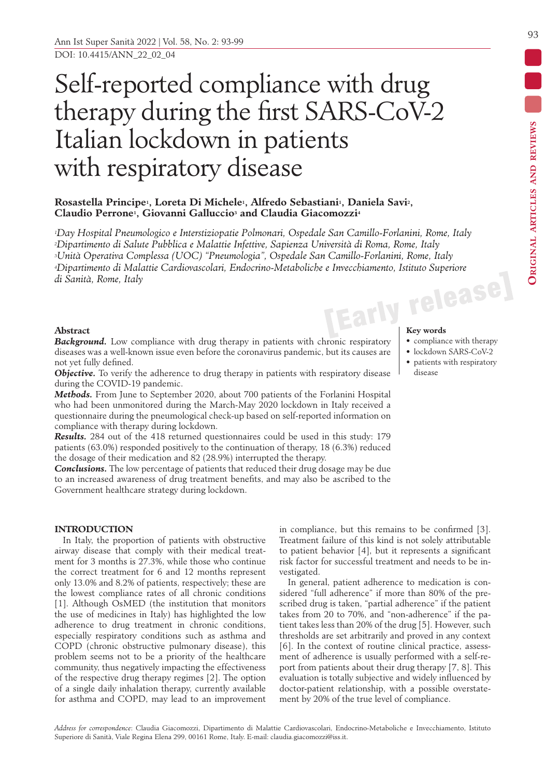# Self-reported compliance with drug therapy during the first SARS-CoV-2 Italian lockdown in patients with respiratory disease

# **Rosastella Principe1, Loreta Di Michele1, Alfredo Sebastiani1, Daniela Savi2, Claudio Perrone1, Giovanni Galluccio3 and Claudia Giacomozzi4**

**[Early release]** *1Day Hospital Pneumologico e Interstiziopatie Polmonari, Ospedale San Camillo-Forlanini, Rome, Italy 2Dipartimento di Salute Pubblica e Malattie Infettive, Sapienza Università di Roma, Rome, Italy 3Unità Operativa Complessa (UOC) "Pneumologia", Ospedale San Camillo-Forlanini, Rome, Italy 4Dipartimento di Malattie Cardiovascolari, Endocrino-Metaboliche e Invecchiamento, Istituto Superiore di Sanità, Rome, Italy*

# **Abstract**

**Background.** Low compliance with drug therapy in patients with chronic respiratory diseases was a well-known issue even before the coronavirus pandemic, but its causes are not yet fully defined.

*Objective.* To verify the adherence to drug therapy in patients with respiratory disease during the COVID-19 pandemic.

*Methods.* From June to September 2020, about 700 patients of the Forlanini Hospital who had been unmonitored during the March-May 2020 lockdown in Italy received a questionnaire during the pneumological check-up based on self-reported information on compliance with therapy during lockdown.

*Results.* 284 out of the 418 returned questionnaires could be used in this study: 179 patients (63.0%) responded positively to the continuation of therapy, 18 (6.3%) reduced the dosage of their medication and 82 (28.9%) interrupted the therapy.

*Conclusions.* The low percentage of patients that reduced their drug dosage may be due to an increased awareness of drug treatment benefits, and may also be ascribed to the Government healthcare strategy during lockdown.

# **INTRODUCTION**

In Italy, the proportion of patients with obstructive airway disease that comply with their medical treatment for 3 months is 27.3%, while those who continue the correct treatment for 6 and 12 months represent only 13.0% and 8.2% of patients, respectively; these are the lowest compliance rates of all chronic conditions [1]. Although OsMED (the institution that monitors the use of medicines in Italy) has highlighted the low adherence to drug treatment in chronic conditions, especially respiratory conditions such as asthma and COPD (chronic obstructive pulmonary disease), this problem seems not to be a priority of the healthcare community, thus negatively impacting the effectiveness of the respective drug therapy regimes [2]. The option of a single daily inhalation therapy, currently available for asthma and COPD, may lead to an improvement in compliance, but this remains to be confirmed [3]. Treatment failure of this kind is not solely attributable to patient behavior [4], but it represents a significant risk factor for successful treatment and needs to be investigated.

In general, patient adherence to medication is considered "full adherence" if more than 80% of the prescribed drug is taken, "partial adherence" if the patient takes from 20 to 70%, and "non-adherence" if the patient takes less than 20% of the drug [5]. However, such thresholds are set arbitrarily and proved in any context [6]. In the context of routine clinical practice, assessment of adherence is usually performed with a self-report from patients about their drug therapy [7, 8]. This evaluation is totally subjective and widely influenced by doctor-patient relationship, with a possible overstatement by 20% of the true level of compliance.

- compliance with therapy
- lockdown SARS-CoV-2
- patients with respiratory disease

**Original articles and reviews**

ORIGINAL ARTICLES AND REVIEWS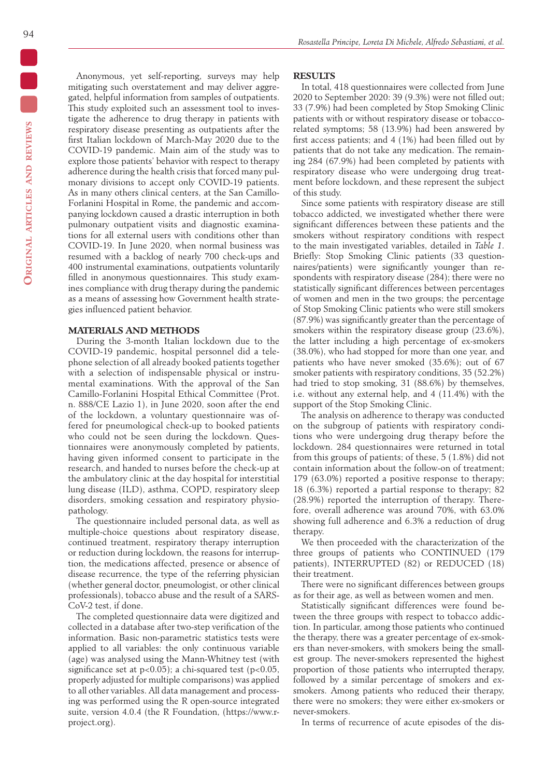Anonymous, yet self-reporting, surveys may help mitigating such overstatement and may deliver aggregated, helpful information from samples of outpatients. This study exploited such an assessment tool to investigate the adherence to drug therapy in patients with respiratory disease presenting as outpatients after the first Italian lockdown of March-May 2020 due to the COVID-19 pandemic. Main aim of the study was to explore those patients' behavior with respect to therapy adherence during the health crisis that forced many pulmonary divisions to accept only COVID-19 patients. As in many others clinical centers, at the San Camillo-Forlanini Hospital in Rome, the pandemic and accompanying lockdown caused a drastic interruption in both pulmonary outpatient visits and diagnostic examinations for all external users with conditions other than COVID-19. In June 2020, when normal business was resumed with a backlog of nearly 700 check-ups and 400 instrumental examinations, outpatients voluntarily filled in anonymous questionnaires. This study examines compliance with drug therapy during the pandemic as a means of assessing how Government health strategies influenced patient behavior.

# **MATERIALS AND METHODS**

During the 3-month Italian lockdown due to the COVID-19 pandemic, hospital personnel did a telephone selection of all already booked patients together with a selection of indispensable physical or instrumental examinations. With the approval of the San Camillo-Forlanini Hospital Ethical Committee (Prot. n. 888/CE Lazio 1), in June 2020, soon after the end of the lockdown, a voluntary questionnaire was offered for pneumological check-up to booked patients who could not be seen during the lockdown. Questionnaires were anonymously completed by patients, having given informed consent to participate in the research, and handed to nurses before the check-up at the ambulatory clinic at the day hospital for interstitial lung disease (ILD), asthma, COPD, respiratory sleep disorders, smoking cessation and respiratory physiopathology.

The questionnaire included personal data, as well as multiple-choice questions about respiratory disease, continued treatment, respiratory therapy interruption or reduction during lockdown, the reasons for interruption, the medications affected, presence or absence of disease recurrence, the type of the referring physician (whether general doctor, pneumologist, or other clinical professionals), tobacco abuse and the result of a SARS-CoV-2 test, if done.

The completed questionnaire data were digitized and collected in a database after two-step verification of the information. Basic non-parametric statistics tests were applied to all variables: the only continuous variable (age) was analysed using the Mann-Whitney test (with significance set at  $p<0.05$ ; a chi-squared test ( $p<0.05$ , properly adjusted for multiple comparisons) was applied to all other variables. All data management and processing was performed using the R open-source integrated suite, version 4.0.4 (the R Foundation, (https://www.rproject.org).

### **RESULTS**

In total, 418 questionnaires were collected from June 2020 to September 2020: 39 (9.3%) were not filled out; 33 (7.9%) had been completed by Stop Smoking Clinic patients with or without respiratory disease or tobaccorelated symptoms; 58 (13.9%) had been answered by first access patients; and 4 (1%) had been filled out by patients that do not take any medication. The remaining 284 (67.9%) had been completed by patients with respiratory disease who were undergoing drug treatment before lockdown, and these represent the subject of this study.

Since some patients with respiratory disease are still tobacco addicted, we investigated whether there were significant differences between these patients and the smokers without respiratory conditions with respect to the main investigated variables, detailed in *Table 1*. Briefly: Stop Smoking Clinic patients (33 questionnaires/patients) were significantly younger than respondents with respiratory disease (284); there were no statistically significant differences between percentages of women and men in the two groups; the percentage of Stop Smoking Clinic patients who were still smokers (87.9%) was significantly greater than the percentage of smokers within the respiratory disease group (23.6%), the latter including a high percentage of ex-smokers (38.0%), who had stopped for more than one year, and patients who have never smoked (35.6%); out of 67 smoker patients with respiratory conditions, 35 (52.2%) had tried to stop smoking, 31 (88.6%) by themselves, i.e. without any external help, and 4 (11.4%) with the support of the Stop Smoking Clinic.

The analysis on adherence to therapy was conducted on the subgroup of patients with respiratory conditions who were undergoing drug therapy before the lockdown. 284 questionnaires were returned in total from this groups of patients; of these, 5 (1.8%) did not contain information about the follow-on of treatment; 179 (63.0%) reported a positive response to therapy; 18 (6.3%) reported a partial response to therapy; 82 (28.9%) reported the interruption of therapy. Therefore, overall adherence was around 70%, with 63.0% showing full adherence and 6.3% a reduction of drug therapy.

We then proceeded with the characterization of the three groups of patients who CONTINUED (179 patients), INTERRUPTED (82) or REDUCED (18) their treatment.

There were no significant differences between groups as for their age, as well as between women and men.

Statistically significant differences were found between the three groups with respect to tobacco addiction. In particular, among those patients who continued the therapy, there was a greater percentage of ex-smokers than never-smokers, with smokers being the smallest group. The never-smokers represented the highest proportion of those patients who interrupted therapy, followed by a similar percentage of smokers and exsmokers. Among patients who reduced their therapy, there were no smokers; they were either ex-smokers or never-smokers.

In terms of recurrence of acute episodes of the dis-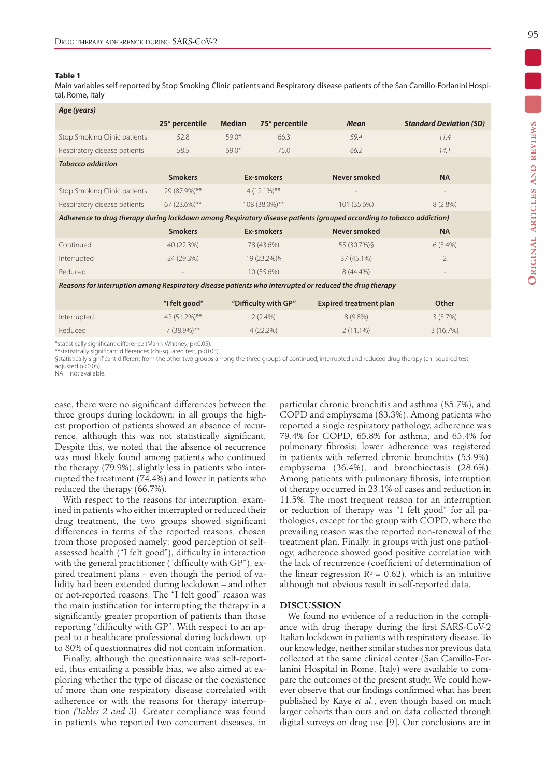#### **Table 1**

Main variables self-reported by Stop Smoking Clinic patients and Respiratory disease patients of the San Camillo-Forlanini Hospital, Rome, Italy

| Age (years)                                                                                                                                                                                                                       |                |               |                      |                               |                                |  |  |  |  |  |  |
|-----------------------------------------------------------------------------------------------------------------------------------------------------------------------------------------------------------------------------------|----------------|---------------|----------------------|-------------------------------|--------------------------------|--|--|--|--|--|--|
|                                                                                                                                                                                                                                   | 25° percentile | <b>Median</b> | 75° percentile       | <b>Mean</b>                   | <b>Standard Deviation (SD)</b> |  |  |  |  |  |  |
| Stop Smoking Clinic patients                                                                                                                                                                                                      | 52.8           | $59.0*$       | 66.3                 | 59.4                          | 11.4                           |  |  |  |  |  |  |
| Respiratory disease patients                                                                                                                                                                                                      | 58.5           | $69.0*$       | 75.0                 | 66.2                          | 14.1                           |  |  |  |  |  |  |
| <b>Tobacco addiction</b>                                                                                                                                                                                                          |                |               |                      |                               |                                |  |  |  |  |  |  |
|                                                                                                                                                                                                                                   | <b>Smokers</b> | Ex-smokers    |                      | Never smoked                  | <b>NA</b>                      |  |  |  |  |  |  |
| Stop Smoking Clinic patients                                                                                                                                                                                                      | 29 (87.9%)**   |               | $4(12.1\%)**$        |                               |                                |  |  |  |  |  |  |
| Respiratory disease patients                                                                                                                                                                                                      | 67 (23.6%)**   |               | 108 (38.0%)**        | 101 (35.6%)                   | $8(2.8\%)$                     |  |  |  |  |  |  |
| Adherence to drug therapy during lockdown among Respiratory disease patients (grouped according to tobacco addiction)                                                                                                             |                |               |                      |                               |                                |  |  |  |  |  |  |
|                                                                                                                                                                                                                                   | <b>Smokers</b> |               | Ex-smokers           | Never smoked                  | <b>NA</b>                      |  |  |  |  |  |  |
| Continued                                                                                                                                                                                                                         | 40 (22.3%)     |               | 78 (43.6%)           | 55 (30.7%) §                  | $6(3.4\%)$                     |  |  |  |  |  |  |
| Interrupted                                                                                                                                                                                                                       | 24 (29.3%)     |               | 19 (23.2%)§          | 37 (45.1%)                    | $\overline{2}$                 |  |  |  |  |  |  |
| Reduced                                                                                                                                                                                                                           |                |               | 10 (55.6%)           | 8 (44.4%)                     |                                |  |  |  |  |  |  |
| Reasons for interruption among Respiratory disease patients who interrupted or reduced the drug therapy                                                                                                                           |                |               |                      |                               |                                |  |  |  |  |  |  |
|                                                                                                                                                                                                                                   | "I felt good"  |               | "Difficulty with GP" | <b>Expired treatment plan</b> | Other                          |  |  |  |  |  |  |
| Interrupted                                                                                                                                                                                                                       | 42 (51.2%)**   |               | $2(2.4\%)$           | $8(9.8\%)$                    | 3(3.7%)                        |  |  |  |  |  |  |
| Reduced                                                                                                                                                                                                                           | $7(38.9\%)$ ** |               | $4(22.2\%)$          | $2(11.1\%)$                   | 3(16.7%)                       |  |  |  |  |  |  |
| $\alpha$ . The second contract of the second of the second second contract of the second second second second second second second second second second second second second second second second second second second second sec |                |               |                      |                               |                                |  |  |  |  |  |  |

statistically significant difference (Mann-Whitney, p<0.05)

\*\*statistically significant differences (chi-squared test, p<0.05).

§statistically significant different from the other two groups among the three groups of continued, interrupted and reduced drug therapy (chi-squared test, adjusted  $p < 0.05$ ).

 $NA = not available$ 

ease, there were no significant differences between the three groups during lockdown: in all groups the highest proportion of patients showed an absence of recurrence, although this was not statistically significant. Despite this, we noted that the absence of recurrence was most likely found among patients who continued the therapy (79.9%), slightly less in patients who interrupted the treatment (74.4%) and lower in patients who reduced the therapy (66.7%).

With respect to the reasons for interruption, examined in patients who either interrupted or reduced their drug treatment, the two groups showed significant differences in terms of the reported reasons, chosen from those proposed namely: good perception of selfassessed health ("I felt good"), difficulty in interaction with the general practitioner ("difficulty with GP"), expired treatment plans – even though the period of validity had been extended during lockdown – and other or not-reported reasons. The "I felt good" reason was the main justification for interrupting the therapy in a significantly greater proportion of patients than those reporting "difficulty with GP". With respect to an appeal to a healthcare professional during lockdown, up to 80% of questionnaires did not contain information.

Finally, although the questionnaire was self-reported, thus entailing a possible bias, we also aimed at exploring whether the type of disease or the coexistence of more than one respiratory disease correlated with adherence or with the reasons for therapy interruption *(Tables 2 and 3)*. Greater compliance was found in patients who reported two concurrent diseases, in particular chronic bronchitis and asthma (85.7%), and COPD and emphysema (83.3%). Among patients who reported a single respiratory pathology, adherence was 79.4% for COPD, 65.8% for asthma, and 65.4% for pulmonary fibrosis; lower adherence was registered in patients with referred chronic bronchitis (53.9%), emphysema (36.4%), and bronchiectasis (28.6%). Among patients with pulmonary fibrosis, interruption of therapy occurred in 23.1% of cases and reduction in 11.5%. The most frequent reason for an interruption or reduction of therapy was "I felt good" for all pathologies, except for the group with COPD, where the prevailing reason was the reported non-renewal of the treatment plan. Finally, in groups with just one pathology, adherence showed good positive correlation with the lack of recurrence (coefficient of determination of the linear regression  $R<sup>2</sup> = 0.62$ ), which is an intuitive although not obvious result in self-reported data.

# **DISCUSSION**

We found no evidence of a reduction in the compliance with drug therapy during the first SARS-CoV-2 Italian lockdown in patients with respiratory disease. To our knowledge, neither similar studies nor previous data collected at the same clinical center (San Camillo-Forlanini Hospital in Rome, Italy) were available to compare the outcomes of the present study. We could however observe that our findings confirmed what has been published by Kaye *et al.*, even though based on much larger cohorts than ours and on data collected through digital surveys on drug use [9]. Our conclusions are in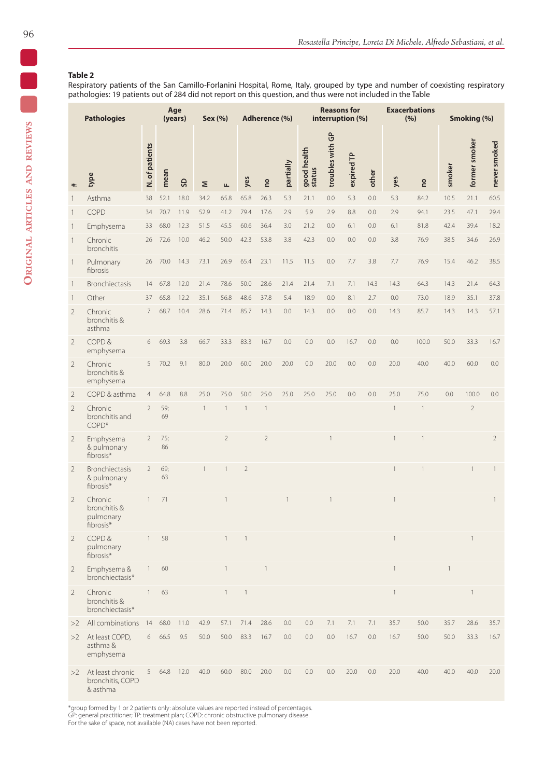# **Table 2**

Respiratory patients of the San Camillo-Forlanini Hospital, Rome, Italy, grouped by type and number of coexisting respiratory pathologies: 19 patients out of 284 did not report on this question, and thus were not included in the Table

| <b>Pathologies</b> |                                                   |                | Age<br>(years) |      |              | Sex (%)<br>Adherence (%) |                          |                          |              | <b>Reasons for</b><br>interruption (%) |                  |            |       | <b>Exacerbations</b><br>(%) |              | Smoking (%) |                |                |
|--------------------|---------------------------------------------------|----------------|----------------|------|--------------|--------------------------|--------------------------|--------------------------|--------------|----------------------------------------|------------------|------------|-------|-----------------------------|--------------|-------------|----------------|----------------|
| $\ast$             | type                                              | N. of patients | mean           | GS   | Σ            | $\mathbf{L}$             | yes                      | ou                       | partially    | good health<br>status                  | troubles with GP | expired TP | other | yes                         | <b>DO</b>    | smoker      | former smoker  | never smoked   |
| $\mathbf{1}$       | Asthma                                            | 38             | 52.1           | 18.0 | 34.2         | 65.8                     | 65.8                     | 26.3                     | 5.3          | 21.1                                   | 0.0              | 5.3        | 0.0   | 5.3                         | 84.2         | 10.5        | 21.1           | 60.5           |
| $\mathbf{1}$       | COPD                                              | 34             | 70.7           | 11.9 | 52.9         | 41.2                     | 79.4                     | 17.6                     | 2.9          | 5.9                                    | 2.9              | 8.8        | 0.0   | 2.9                         | 94.1         | 23.5        | 47.1           | 29.4           |
| $\mathbf{1}$       | Emphysema                                         | 33             | 68.0           | 12.3 | 51.5         | 45.5                     | 60.6                     | 36.4                     | 3.0          | 21.2                                   | 0.0              | 6.1        | 0.0   | 6.1                         | 81.8         | 42.4        | 39.4           | 18.2           |
| $\mathbf{1}$       | Chronic<br>bronchitis                             | 26             | 72.6           | 10.0 | 46.2         | 50.0                     | 42.3                     | 53.8                     | 3.8          | 42.3                                   | 0.0              | 0.0        | 0.0   | 3.8                         | 76.9         | 38.5        | 34.6           | 26.9           |
| $\mathbf{1}$       | Pulmonary<br>fibrosis                             | 26             | 70.0           | 14.3 | 73.1         | 26.9                     | 65.4                     | 23.1                     | 11.5         | 11.5                                   | 0.0              | 7.7        | 3.8   | 7.7                         | 76.9         | 15.4        | 46.2           | 38.5           |
| $\mathbf{1}$       | <b>Bronchiectasis</b>                             | 14             | 67.8           | 12.0 | 21.4         | 78.6                     | 50.0                     | 28.6                     | 21.4         | 21.4                                   | 7.1              | 7.1        | 14.3  | 14.3                        | 64.3         | 14.3        | 21.4           | 64.3           |
| $\mathbf{1}$       | Other                                             | 37             | 65.8           | 12.2 | 35.1         | 56.8                     | 48.6                     | 37.8                     | 5.4          | 18.9                                   | 0.0              | 8.1        | 2.7   | 0.0                         | 73.0         | 18.9        | 35.1           | 37.8           |
| $\overline{2}$     | Chronic<br>bronchitis &<br>asthma                 | $\overline{7}$ | 68.7           | 10.4 | 28.6         | 71.4                     | 85.7                     | 14.3                     | 0.0          | 14.3                                   | 0.0              | 0.0        | 0.0   | 14.3                        | 85.7         | 14.3        | 14.3           | 57.1           |
| $\overline{2}$     | COPD&<br>emphysema                                | 6              | 69.3           | 3.8  | 66.7         | 33.3                     | 83.3                     | 16.7                     | 0.0          | 0.0                                    | 0.0              | 16.7       | 0.0   | 0.0                         | 100.0        | 50.0        | 33.3           | 16.7           |
| $\overline{2}$     | Chronic<br>bronchitis &<br>emphysema              | 5              | 70.2           | 9.1  | 80.0         | 20.0                     | 60.0                     | 20.0                     | 20.0         | 0.0                                    | 20.0             | 0.0        | 0.0   | 20.0                        | 40.0         | 40.0        | 60.0           | 0.0            |
| $\overline{2}$     | COPD & asthma                                     | $\overline{4}$ | 64.8           | 8.8  | 25.0         | 75.0                     | 50.0                     | 25.0                     | 25.0         | 25.0                                   | 25.0             | 0.0        | 0.0   | 25.0                        | 75.0         | 0.0         | 100.0          | 0.0            |
| $\overline{2}$     | Chronic<br>bronchitis and<br>COPD*                | $\overline{2}$ | 59;<br>69      |      | $\mathbf{1}$ | $\overline{1}$           | $\mathbf{1}$             | $\overline{\phantom{a}}$ |              |                                        |                  |            |       | $\mathbf{1}$                | $\mathbf{1}$ |             | $\overline{2}$ |                |
| $\overline{2}$     | Emphysema<br>& pulmonary<br>fibrosis*             | $\overline{2}$ | 75;<br>86      |      |              | $\overline{2}$           |                          | $\overline{2}$           |              |                                        | 1                |            |       | $\mathbf{1}$                | 1            |             |                | $\overline{2}$ |
| $\overline{2}$     | <b>Bronchiectasis</b><br>& pulmonary<br>fibrosis* | $\overline{2}$ | 69;<br>63      |      | $\mathbf{1}$ | $\mathbf{1}$             | $\sqrt{2}$               |                          |              |                                        |                  |            |       | $\mathbf{1}$                | 1            |             | 1              | $\mathbf{1}$   |
| $\overline{2}$     | Chronic<br>bronchitis &<br>pulmonary<br>fibrosis* |                | 71             |      |              |                          |                          |                          | $\mathbf{1}$ |                                        | 1                |            |       | $\mathbf{1}$                |              |             |                | $\mathbf{1}$   |
| $\overline{2}$     | COPD&<br>pulmonary<br>fibrosis*                   | $\mathbf{1}$   | 58             |      |              | $\overline{1}$           | $\overline{\phantom{a}}$ |                          |              |                                        |                  |            |       | $\overline{1}$              |              |             | $\mathbf{1}$   |                |
| $\overline{2}$     | Emphysema &<br>bronchiectasis*                    | $\mathbf{1}$   | 60             |      |              |                          |                          | 1                        |              |                                        |                  |            |       | $\mathbf{1}$                |              |             |                |                |
| $\overline{2}$     | Chronic<br>bronchitis &<br>bronchiectasis*        | $\mathbf{1}$   | 63             |      |              | $\mathbf{1}$             | $\mathbf{1}$             |                          |              |                                        |                  |            |       | $\overline{1}$              |              |             | $\mathbf{1}$   |                |
| >2                 | All combinations                                  | 14             | 68.0           | 11.0 | 42.9         | 57.1                     | 71.4                     | 28.6                     | 0.0          | 0.0                                    | 7.1              | 7.1        | 7.1   | 35.7                        | 50.0         | 35.7        | 28.6           | 35.7           |
| >2                 | At least COPD,<br>asthma &<br>emphysema           | 6              | 66.5           | 9.5  | 50.0         | 50.0                     | 83.3                     | 16.7                     | 0.0          | 0.0                                    | 0.0              | 16.7       | 0.0   | 16.7                        | 50.0         | 50.0        | 33.3           | 16.7           |
| >2                 | At least chronic<br>bronchitis, COPD<br>& asthma  | 5              | 64.8           | 12.0 | 40.0         | 60.0                     | 80.0                     | 20.0                     | 0.0          | 0.0                                    | 0.0              | 20.0       | 0.0   | 20.0                        | 40.0         | 40.0        | 40.0           | 20.0           |

\*group formed by 1 or 2 patients only: absolute values are reported instead of percentages. GP: general practitioner; TP: treatment plan; COPD: chronic obstructive pulmonary disease. For the sake of space, not available (NA) cases have not been reported.

0<br>0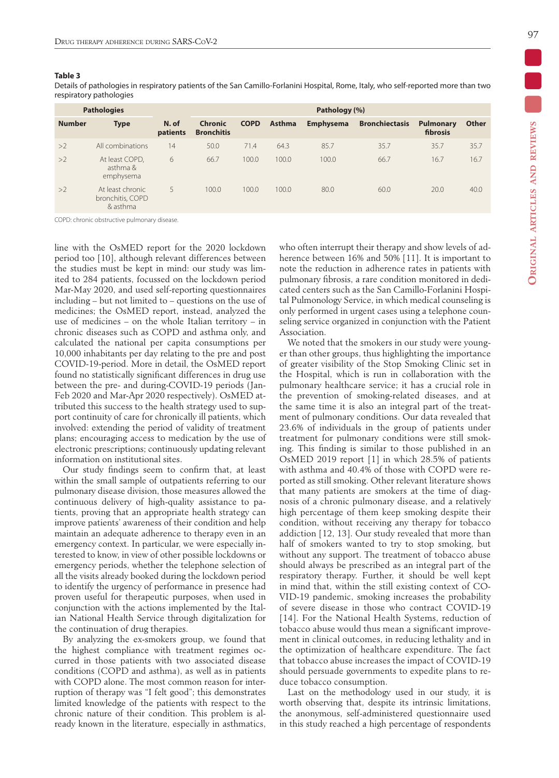#### **Table 3**

Details of pathologies in respiratory patients of the San Camillo-Forlanini Hospital, Rome, Italy, who self-reported more than two respiratory pathologies

| <b>Pathologies</b> |                                                  | Pathology (%)     |                                     |             |               |                  |                       |                              |              |  |  |
|--------------------|--------------------------------------------------|-------------------|-------------------------------------|-------------|---------------|------------------|-----------------------|------------------------------|--------------|--|--|
| <b>Number</b>      | <b>Type</b>                                      | N. of<br>patients | <b>Chronic</b><br><b>Bronchitis</b> | <b>COPD</b> | <b>Asthma</b> | <b>Emphysema</b> | <b>Bronchiectasis</b> | <b>Pulmonary</b><br>fibrosis | <b>Other</b> |  |  |
| >2                 | All combinations                                 | 14                | 50.0                                | 71.4        | 64.3          | 85.7             | 35.7                  | 35.7                         | 35.7         |  |  |
| >2                 | At least COPD,<br>asthma &<br>emphysema          | 6                 | 66.7                                | 100.0       | 100.0         | 100.0            | 66.7                  | 16.7                         | 16.7         |  |  |
| >2                 | At least chronic<br>bronchitis, COPD<br>& asthma | 5                 | 100.0                               | 100.0       | 100.0         | 80.0             | 60.0                  | 20.0                         | 40.0         |  |  |

COPD: chronic obstructive pulmonary disease.

line with the OsMED report for the 2020 lockdown period too [10], although relevant differences between the studies must be kept in mind: our study was limited to 284 patients, focussed on the lockdown period Mar-May 2020, and used self-reporting questionnaires including – but not limited to – questions on the use of medicines; the OsMED report, instead, analyzed the use of medicines – on the whole Italian territory – in chronic diseases such as COPD and asthma only, and calculated the national per capita consumptions per 10,000 inhabitants per day relating to the pre and post COVID-19-period. More in detail, the OsMED report found no statistically significant differences in drug use between the pre- and during-COVID-19 periods (Jan-Feb 2020 and Mar-Apr 2020 respectively). OsMED attributed this success to the health strategy used to support continuity of care for chronically ill patients, which involved: extending the period of validity of treatment plans; encouraging access to medication by the use of electronic prescriptions; continuously updating relevant information on institutional sites.

Our study findings seem to confirm that, at least within the small sample of outpatients referring to our pulmonary disease division, those measures allowed the continuous delivery of high-quality assistance to patients, proving that an appropriate health strategy can improve patients' awareness of their condition and help maintain an adequate adherence to therapy even in an emergency context. In particular, we were especially interested to know, in view of other possible lockdowns or emergency periods, whether the telephone selection of all the visits already booked during the lockdown period to identify the urgency of performance in presence had proven useful for therapeutic purposes, when used in conjunction with the actions implemented by the Italian National Health Service through digitalization for the continuation of drug therapies.

By analyzing the ex-smokers group, we found that the highest compliance with treatment regimes occurred in those patients with two associated disease conditions (COPD and asthma), as well as in patients with COPD alone. The most common reason for interruption of therapy was "I felt good"; this demonstrates limited knowledge of the patients with respect to the chronic nature of their condition. This problem is already known in the literature, especially in asthmatics, who often interrupt their therapy and show levels of adherence between 16% and 50% [11]. It is important to note the reduction in adherence rates in patients with pulmonary fibrosis, a rare condition monitored in dedicated centers such as the San Camillo-Forlanini Hospital Pulmonology Service, in which medical counseling is only performed in urgent cases using a telephone counseling service organized in conjunction with the Patient Association.

We noted that the smokers in our study were younger than other groups, thus highlighting the importance of greater visibility of the Stop Smoking Clinic set in the Hospital, which is run in collaboration with the pulmonary healthcare service; it has a crucial role in the prevention of smoking-related diseases, and at the same time it is also an integral part of the treatment of pulmonary conditions. Our data revealed that 23.6% of individuals in the group of patients under treatment for pulmonary conditions were still smoking. This finding is similar to those published in an OsMED 2019 report [1] in which 28.5% of patients with asthma and 40.4% of those with COPD were reported as still smoking. Other relevant literature shows that many patients are smokers at the time of diagnosis of a chronic pulmonary disease, and a relatively high percentage of them keep smoking despite their condition, without receiving any therapy for tobacco addiction [12, 13]. Our study revealed that more than half of smokers wanted to try to stop smoking, but without any support. The treatment of tobacco abuse should always be prescribed as an integral part of the respiratory therapy. Further, it should be well kept in mind that, within the still existing context of CO-VID-19 pandemic, smoking increases the probability of severe disease in those who contract COVID-19 [14]. For the National Health Systems, reduction of tobacco abuse would thus mean a significant improvement in clinical outcomes, in reducing lethality and in the optimization of healthcare expenditure. The fact that tobacco abuse increases the impact of COVID-19 should persuade governments to expedite plans to reduce tobacco consumption.

Last on the methodology used in our study, it is worth observing that, despite its intrinsic limitations, the anonymous, self-administered questionnaire used in this study reached a high percentage of respondents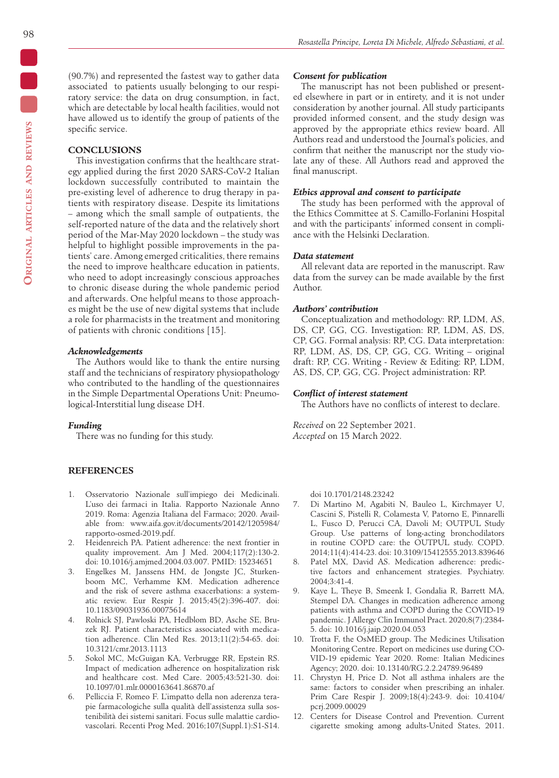(90.7%) and represented the fastest way to gather data associated to patients usually belonging to our respiratory service: the data on drug consumption, in fact, which are detectable by local health facilities, would not have allowed us to identify the group of patients of the specific service.

#### **CONCLUSIONS**

This investigation confirms that the healthcare strategy applied during the first 2020 SARS-CoV-2 Italian lockdown successfully contributed to maintain the pre-existing level of adherence to drug therapy in patients with respiratory disease. Despite its limitations – among which the small sample of outpatients, the self-reported nature of the data and the relatively short period of the Mar-May 2020 lockdown – the study was helpful to highlight possible improvements in the patients' care. Among emerged criticalities, there remains the need to improve healthcare education in patients, who need to adopt increasingly conscious approaches to chronic disease during the whole pandemic period and afterwards. One helpful means to those approaches might be the use of new digital systems that include a role for pharmacists in the treatment and monitoring of patients with chronic conditions [15].

#### *Acknowledgements*

The Authors would like to thank the entire nursing staff and the technicians of respiratory physiopathology who contributed to the handling of the questionnaires in the Simple Departmental Operations Unit: Pneumological-Interstitial lung disease DH.

### *Funding*

There was no funding for this study.

# **REFERENCES**

- 1. Osservatorio Nazionale sull'impiego dei Medicinali. L'uso dei farmaci in Italia. Rapporto Nazionale Anno 2019. Roma: Agenzia Italiana del Farmaco; 2020. Available from: www.aifa.gov.it/documents/20142/1205984/ rapporto-osmed-2019.pdf.
- 2. Heidenreich PA. Patient adherence: the next frontier in quality improvement. Am J Med. 2004;117(2):130-2. doi: 10.1016/j.amjmed.2004.03.007. PMID: 15234651
- 3. Engelkes M, Janssens HM, de Jongste JC, Sturkenboom MC, Verhamme KM. Medication adherence and the risk of severe asthma exacerbations: a systematic review. Eur Respir J. 2015;45(2):396-407. doi: 10.1183/09031936.00075614
- 4. Rolnick SJ, Pawloski PA, Hedblom BD, Asche SE, Bruzek RJ. Patient characteristics associated with medication adherence. Clin Med Res. 2013;11(2):54-65. doi: 10.3121/cmr.2013.1113
- 5. Sokol MC, McGuigan KA, Verbrugge RR, Epstein RS. Impact of medication adherence on hospitalization risk and healthcare cost. Med Care. 2005;43:521-30. doi: 10.1097/01.mlr.0000163641.86870.af
- 6. Pelliccia F, Romeo F. L'impatto della non aderenza terapie farmacologiche sulla qualità dell'assistenza sulla sostenibilità dei sistemi sanitari. Focus sulle malattie cardiovascolari. Recenti Prog Med. 2016;107(Suppl.1):S1-S14.

# *Consent for publication*

The manuscript has not been published or presented elsewhere in part or in entirety, and it is not under consideration by another journal. All study participants provided informed consent, and the study design was approved by the appropriate ethics review board. All Authors read and understood the Journal's policies, and confirm that neither the manuscript nor the study violate any of these. All Authors read and approved the final manuscript.

# *Ethics approval and consent to participate*

The study has been performed with the approval of the Ethics Committee at S. Camillo-Forlanini Hospital and with the participants' informed consent in compliance with the Helsinki Declaration.

#### *Data statement*

All relevant data are reported in the manuscript. Raw data from the survey can be made available by the first Author.

# *Authors' contribution*

Conceptualization and methodology: RP, LDM, AS, DS, CP, GG, CG. Investigation: RP, LDM, AS, DS, CP, GG. Formal analysis: RP, CG. Data interpretation: RP, LDM, AS, DS, CP, GG, CG. Writing – original draft: RP, CG. Writing - Review & Editing: RP, LDM, AS, DS, CP, GG, CG. Project administration: RP.

# *Conflict of interest statement*

The Authors have no conflicts of interest to declare.

*Received* on 22 September 2021. *Accepted* on 15 March 2022.

doi 10.1701/2148.23242

- 7. Di Martino M, Agabiti N, Bauleo L, Kirchmayer U, Cascini S, Pistelli R, Colamesta V, Patorno E, Pinnarelli L, Fusco D, Perucci CA, Davoli M; OUTPUL Study Group. Use patterns of long-acting bronchodilators in routine COPD care: the OUTPUL study. COPD. 2014;11(4):414-23. doi: 10.3109/15412555.2013.839646
- Patel MX, David AS. Medication adherence: predictive factors and enhancement strategies. Psychiatry. 2004;3:41-4.
- 9. Kaye L, Theye B, Smeenk I, Gondalia R, Barrett MA, Stempel DA. Changes in medication adherence among patients with asthma and COPD during the COVID-19 pandemic. J Allergy Clin Immunol Pract. 2020;8(7):2384- 5. doi: 10.1016/j.jaip.2020.04.053
- 10. Trotta F, the OsMED group. The Medicines Utilisation Monitoring Centre. Report on medicines use during CO-VID‐19 epidemic Year 2020. Rome: Italian Medicines Agency; 2020. doi: 10.13140/RG.2.2.24789.96489
- 11. Chrystyn H, Price D. Not all asthma inhalers are the same: factors to consider when prescribing an inhaler. Prim Care Respir J. 2009;18(4):243-9. doi: 10.4104/ pcrj.2009.00029
- 12. Centers for Disease Control and Prevention. Current cigarette smoking among adults-United States, 2011.